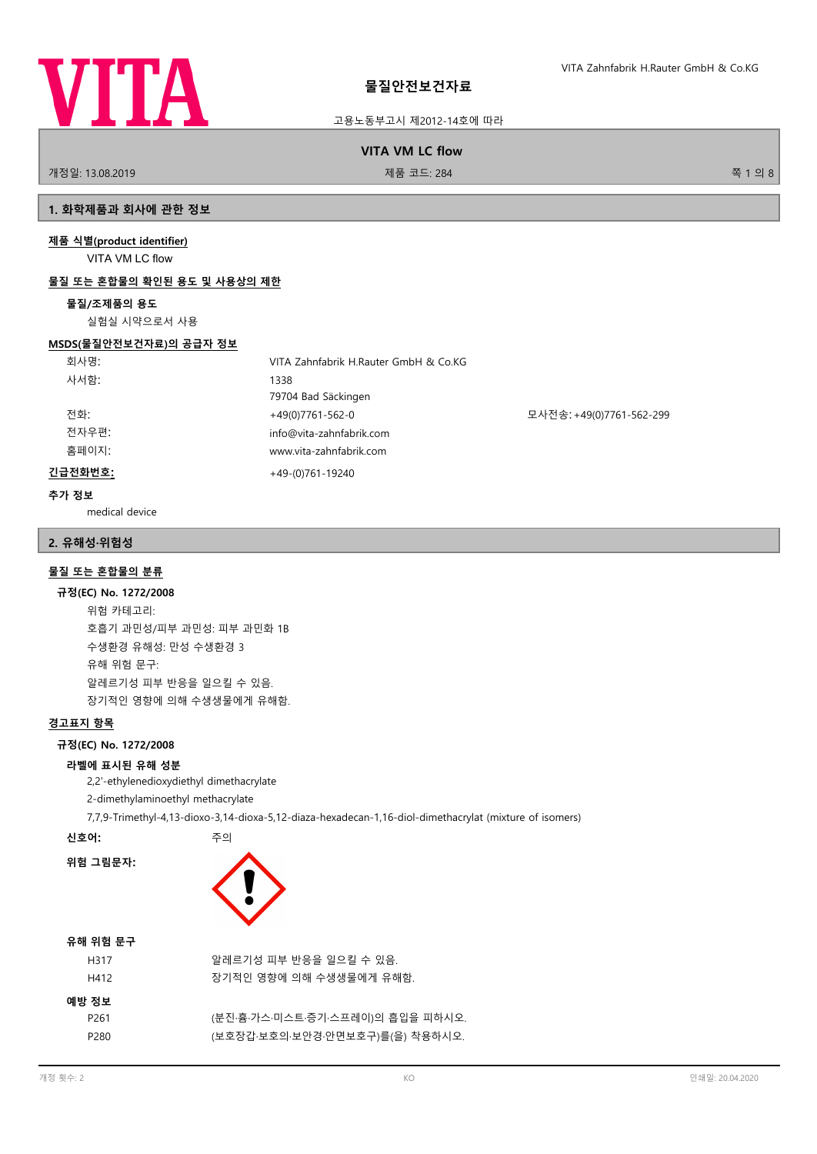

고용노동부고시 제2012-14호에 따라

**VITA VM LC flow**

개정일: 13.08.2019 제품 코드: 284 쪽 1 의 8

# **1. 화학제품과 회사에 관한 정보**

# **제품 식별(product identifier)**

VITA VM LC flow

# **물질 또는 혼합물의 확인된 용도 및 사용상의 제한**

# **물질/조제품의 용도**

실험실 시약으로서 사용

# **MSDS(물질안전보건자료)의 공급자 정보**

| 회사명:    | VITA Zahnfabrik H.Rauter GmbH & Co.KG |                          |
|---------|---------------------------------------|--------------------------|
| 사서함:    | 1338                                  |                          |
|         | 79704 Bad Säckingen                   |                          |
| 전화:     | $+49(0)7761-562-0$                    | 모사전송: +49(0)7761-562-299 |
| 전자우편:   | info@vita-zahnfabrik.com              |                          |
| 홈페이지:   | www.vita-zahnfabrik.com               |                          |
| 긴급전화번호: | $+49-(0)761-19240$                    |                          |

## **추가 정보**

medical device

# **2. 유해성·위험성**

# **물질 또는 혼합물의 분류**

### **규정(EC) No. 1272/2008**

위험 카테고리: 호흡기 과민성/피부 과민성: 피부 과민화 1B 수생환경 유해성: 만성 수생환경 3 유해 위험 문구: 알레르기성 피부 반응을 일으킬 수 있음. 장기적인 영향에 의해 수생생물에게 유해함.

# **경고표지 항목**

# **규정(EC) No. 1272/2008**

# **라벨에 표시된 유해 성분**

2,2'-ethylenedioxydiethyl dimethacrylate

2-dimethylaminoethyl methacrylate

7,7,9-Trimethyl-4,13-dioxo-3,14-dioxa-5,12-diaza-hexadecan-1,16-diol-dimethacrylat (mixture of isomers)

**신호어:** 주의



# **유해 위험 문구**

**위험 그림문자:**

| 예방 정보<br>P <sub>261</sub><br>P280 | H317<br>H412 | 알레르기성 피부 반응을 일으킬 수 있음.<br>장기적인 영향에 의해 수생생물에게 유해함.                   |
|-----------------------------------|--------------|---------------------------------------------------------------------|
|                                   |              | (분진·흄·가스·미스트·증기·스프레이)의 흡입을 피하시오.<br>(보호장갑·보호의·보안경·안면보호구)를(을) 착용하시오. |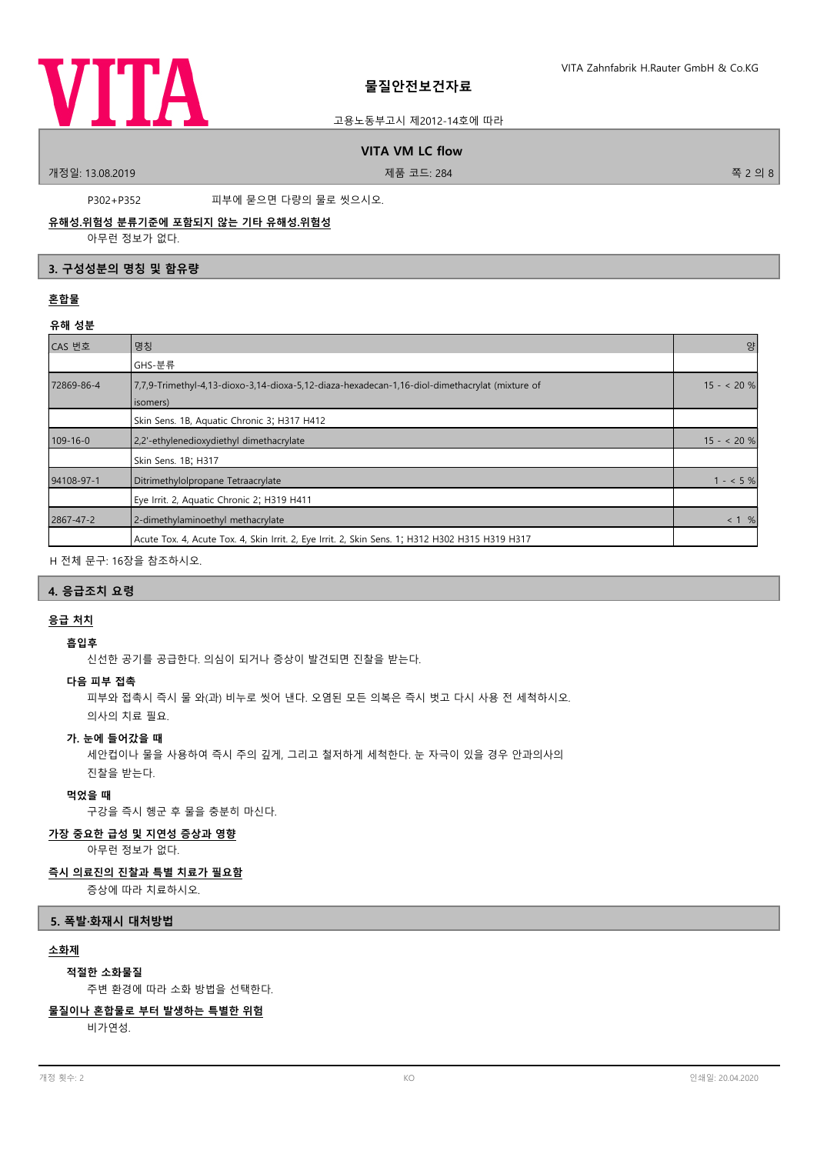

# 고용노동부고시 제2012-14호에 따라

# **VITA VM LC flow**

.<br>개정일: 13.08.2019 제품 프로그램을 제공하는 것이 제품 코드: 284 전 - 284 전 - 284 전 - 284 전 - 284 전 - 284 전 - 284 전 - 285 전 - 286 전 - 286 전 - 286 전 - 287 전 - 287 전 - 287 전 - 288 전 - 288 전 - 288 전 - 288 전 - 288 전 - 288 전 - 288 전 - 288 전 - 288

P302+P352 피부에 묻으면 다량의 물로 씻으시오.

# **유해성.위험성 분류기준에 포함되지 않는 기타 유해성.위험성**

아무런 정보가 없다.

# **3. 구성성분의 명칭 및 함유량**

# **혼합물**

# **유해 성분**

| CAS 번호         | 명칭                                                                                                         | 양          |
|----------------|------------------------------------------------------------------------------------------------------------|------------|
|                | GHS-분류                                                                                                     |            |
| 72869-86-4     | 7,7,9-Trimethyl-4,13-dioxo-3,14-dioxa-5,12-diaza-hexadecan-1,16-diol-dimethacrylat (mixture of<br>isomers) | $15 - 20%$ |
|                | Skin Sens. 1B, Aquatic Chronic 3; H317 H412                                                                |            |
| $109 - 16 - 0$ | 2,2'-ethylenedioxydiethyl dimethacrylate                                                                   | $15 - 20%$ |
|                | Skin Sens. 1B; H317                                                                                        |            |
| 94108-97-1     | Ditrimethylolpropane Tetraacrylate                                                                         | $1 - 5\%$  |
|                | Eye Irrit. 2, Aquatic Chronic 2; H319 H411                                                                 |            |
| 2867-47-2      | 2-dimethylaminoethyl methacrylate                                                                          | < 1 %      |
|                | Acute Tox. 4, Acute Tox. 4, Skin Irrit. 2, Eye Irrit. 2, Skin Sens. 1; H312 H302 H315 H319 H317            |            |

H 전체 문구: 16장을 참조하시오.

# **4. 응급조치 요령**

# **응급 처치**

# **흡입후**

신선한 공기를 공급한다. 의심이 되거나 증상이 발견되면 진찰을 받는다.

### **다음 피부 접촉**

피부와 접촉시 즉시 물 와(과) 비누로 씻어 낸다. 오염된 모든 의복은 즉시 벗고 다시 사용 전 세척하시오.

의사의 치료 필요.

## **가. 눈에 들어갔을 때**

세안컵이나 물을 사용하여 즉시 주의 깊게, 그리고 철저하게 세척한다. 눈 자극이 있을 경우 안과의사의 진찰을 받는다.

### **먹었을 때**

구강을 즉시 헹군 후 물을 충분히 마신다.

### **가장 중요한 급성 및 지연성 증상과 영향**

아무런 정보가 없다.

# **즉시 의료진의 진찰과 특별 치료가 필요함**

증상에 따라 치료하시오.

# **5. 폭발·화재시 대처방법**

# **소화제**

### **적절한 소화물질**

주변 환경에 따라 소화 방법을 선택한다.

### **물질이나 혼합물로 부터 발생하는 특별한 위험**

비가연성.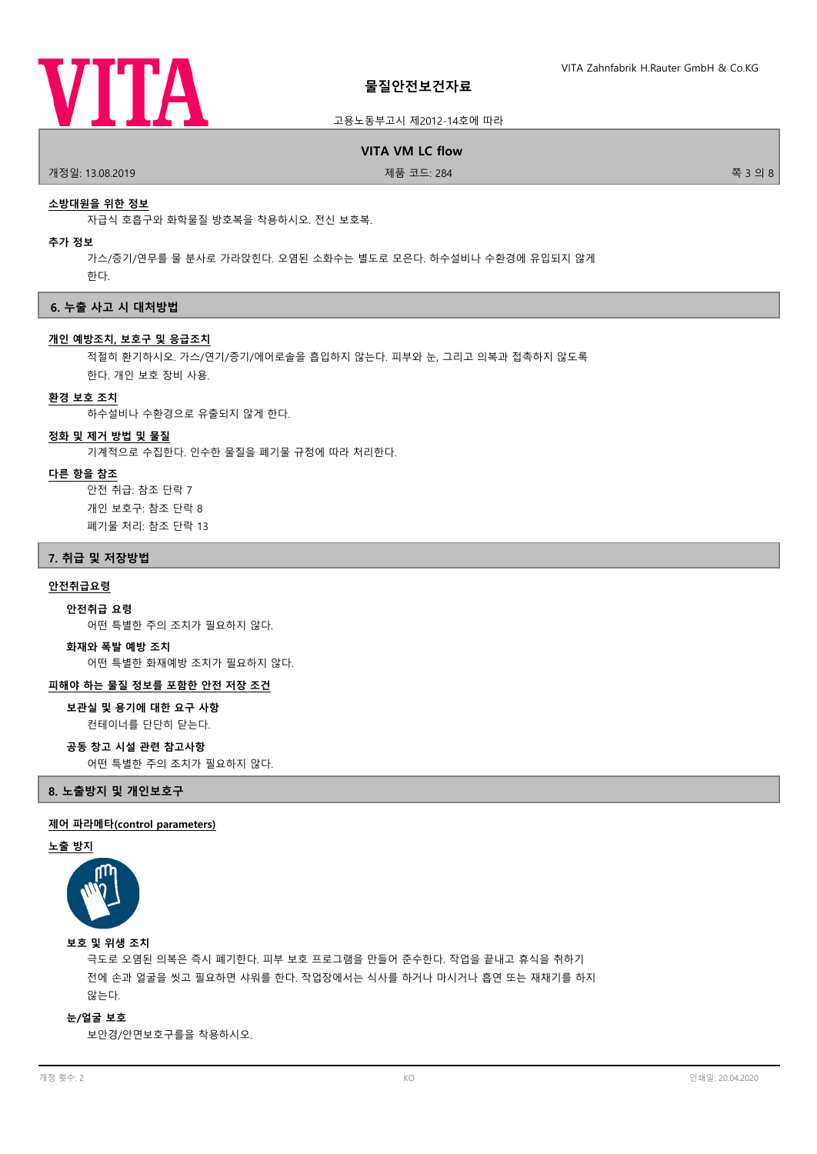

## 고용노동부고시 제2012-14호에 따라

# **VITA VM LC flow**

.<br>개정일: 13.08.2019 제품 코드: 284 전 12월 20일: 13.08.2019 전 폭 3 의 8

### **소방대원을 위한 정보**

자급식 호흡구와 화학물질 방호복을 착용하시오. 전신 보호복.

### **추가 정보**

가스/증기/연무를 물 분사로 가라앉힌다. 오염된 소화수는 별도로 모은다. 하수설비나 수환경에 유입되지 않게 한다.

### **6. 누출 사고 시 대처방법**

### **개인 예방조치, 보호구 및 응급조치**

적절히 환기하시오. 가스/연기/증기/에어로솔을 흡입하지 않는다. 피부와 눈, 그리고 의복과 접촉하지 않도록 한다. 개인 보호 장비 사용.

# **환경 보호 조치**

하수설비나 수환경으로 유출되지 않게 한다.

### **정화 및 제거 방법 및 물질**

기계적으로 수집한다. 인수한 물질을 폐기물 규정에 따라 처리한다.

# **다른 항을 참조**

안전 취급: 참조 단락 7 개인 보호구: 참조 단락 8 폐기물 처리: 참조 단락 13

### **7. 취급 및 저장방법**

# **안전취급요령**

어떤 특별한 주의 조치가 필요하지 않다. **안전취급 요령**

### **화재와 폭발 예방 조치**

어떤 특별한 화재예방 조치가 필요하지 않다.

# **피해야 하는 물질 정보를 포함한 안전 저장 조건**

# 컨테이너를 단단히 닫는다. **보관실 및 용기에 대한 요구 사항**

**공동 창고 시설 관련 참고사항**

어떤 특별한 주의 조치가 필요하지 않다.

**8. 노출방지 및 개인보호구**

# **제어 파라메타(control parameters)**

# **노출 방지**



**보호 및 위생 조치**

극도로 오염된 의복은 즉시 폐기한다. 피부 보호 프로그램을 만들어 준수한다. 작업을 끝내고 휴식을 취하기 전에 손과 얼굴을 씻고 필요하면 샤워를 한다. 작업장에서는 식사를 하거나 마시거나 흡연 또는 재채기를 하지 않는다.

**눈/얼굴 보호**

보안경/안면보호구를을 착용하시오.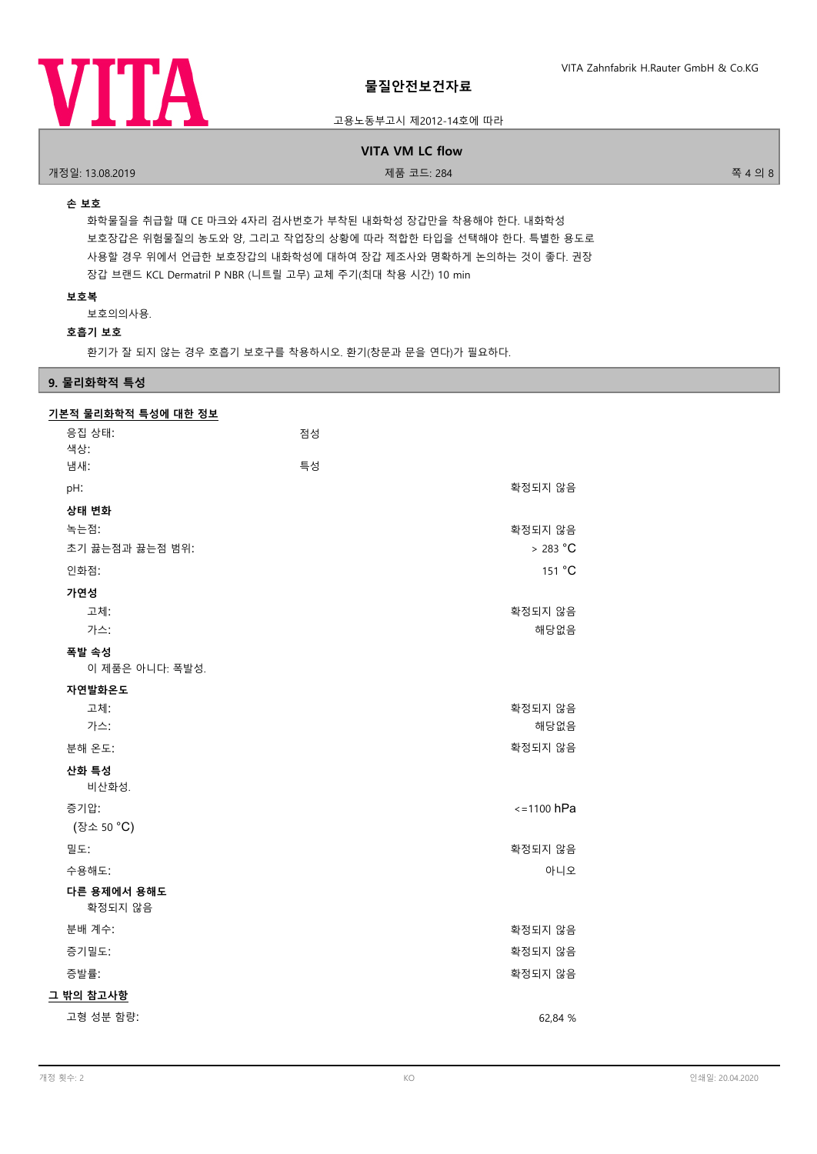

고용노동부고시 제2012-14호에 따라

# **VITA VM LC flow**

.<br>개정일: 13.08.2019 제품 프로그램을 제공하는 것이 제품 코드: 284 전 12월 20일: 13.08.2019 - 주국 의 8

# **손 보호**

화학물질을 취급할 때 CE 마크와 4자리 검사번호가 부착된 내화학성 장갑만을 착용해야 한다. 내화학성 보호장갑은 위험물질의 농도와 양, 그리고 작업장의 상황에 따라 적합한 타입을 선택해야 한다. 특별한 용도로 사용할 경우 위에서 언급한 보호장갑의 내화학성에 대하여 장갑 제조사와 명확하게 논의하는 것이 좋다. 권장 장갑 브랜드 KCL Dermatril P NBR (니트릴 고무) 교체 주기(최대 착용 시간) 10 min

# **보호복**

보호의의사용.

# **호흡기 보호**

환기가 잘 되지 않는 경우 호흡기 보호구를 착용하시오. 환기(창문과 문을 연다)가 필요하다.

# **9. 물리화학적 특성**

# 응집 상태: 점성 색상: **기본적 물리화학적 특성에 대한 정보** 냄새: 특성 pH: 기업 - 그 정도 그 사이트 - 그 정도 그 사이트 - 그 사이트 - 그 사이트 - 그 사이트 - 그 사이트 - 그 작정되지 않음 **상태 변화** 녹는점: 확정되지 않음 초기 끓는점과 끓는점 범위: > 283 °C 인화점: The contract of the contract of the contract of the contract of the contract of the contract of the contract of the contract of the contract of the contract of the contract of the contract of the contract of the cont **가연성** 고체: 확정되지 않음 가스: 가스 - 해당없음 - 해당없음 - 해당없음 - 해당없음 - 해당없음 - 해당없음 이 제품은 아니다: 폭발성. **폭발 속성 자연발화온도** 고체: 확정되지 않음 가스: 가스 - 해당없음 - 해당없음 - 해당없음 - 해당없음 - 해당없음 - 해당없음 분해 온도: 확정되지 않음 비산화성. **산화 특성** 증기압: <=1100 hPa (장소 50 °C) 밀도: 확정되지 않음 수용해도: 아니오 **다른 용제에서 용해도** 확정되지 않음 분배 계수: 참정되지 않음 기분 때문에 대한 사람들은 어떻게 되었다. 그 사람들은 어떻게 하는 것 같은 것이 없는 것이 없는 것이 없는 것이 없는 것이 없는 것이 없는 것이 없는 것이 없는 것이 없는 증기밀도: 확정되지 않음 증발률: 참고 하는 사람들은 사람들의 사람들은 사람들의 사람들을 지원하고 있다. **그 밖의 참고사항** 고형 성분 함량: 62,84 %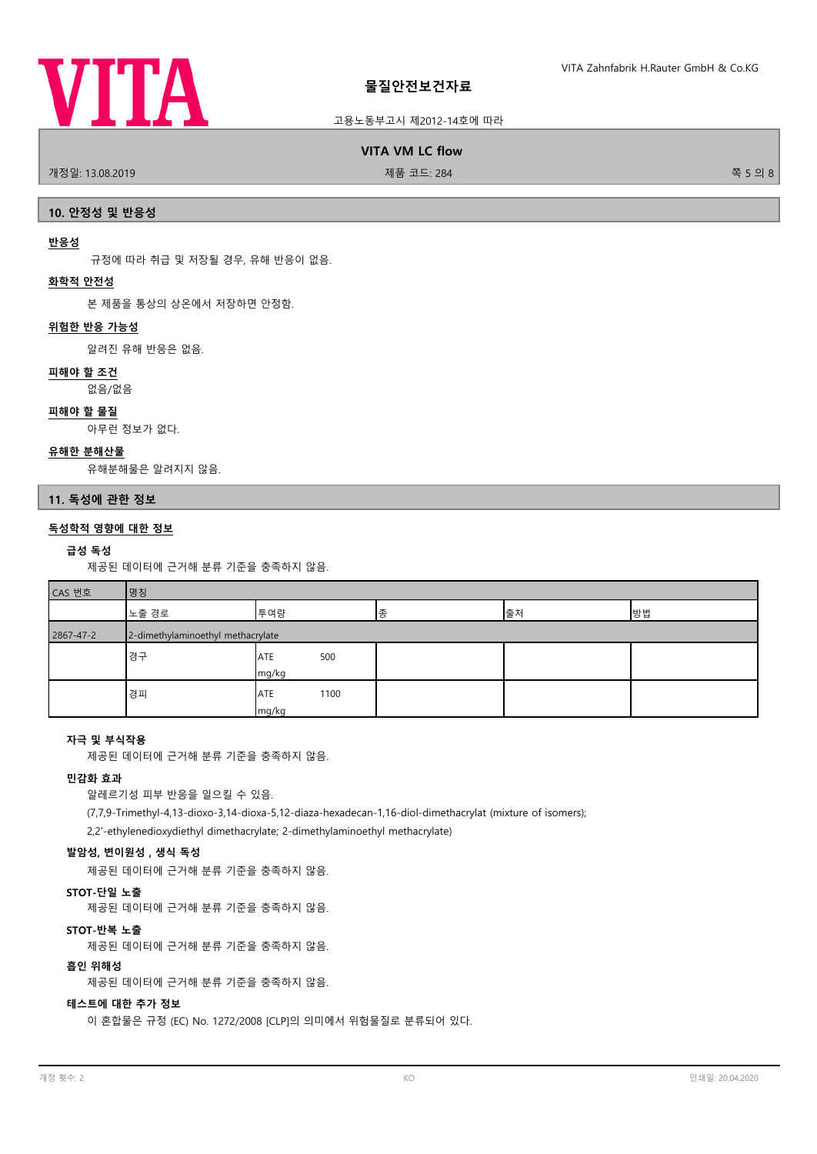

# 고용노동부고시 제2012-14호에 따라

**VITA VM LC flow**

.<br>개정일: 13.08.2019 제품 코드: 284 전 - 대한민국의 대한민국의 대한민국의 제품 코드: 284 전 - 대한민국의 대한민국의 대한민국의 대한민국의 대한민국의 8

### **10. 안정성 및 반응성**

## **반응성**

규정에 따라 취급 및 저장될 경우, 유해 반응이 없음.

# **화학적 안전성**

본 제품을 통상의 상온에서 저장하면 안정함.

### **위험한 반응 가능성**

알려진 유해 반응은 없음.

### **피해야 할 조건**

없음/없음

### **피해야 할 물질**

아무런 정보가 없다.

# **유해한 분해산물**

유해분해물은 알려지지 않음.

### **11. 독성에 관한 정보**

# **독성학적 영향에 대한 정보**

### **급성 독성**

제공된 데이터에 근거해 분류 기준을 충족하지 않음.

| - |
|---|

| CAS 번호    | 명칭                                |                            |   |    |    |
|-----------|-----------------------------------|----------------------------|---|----|----|
|           | 노출 경로                             | 투여량                        | 종 | 출처 | 방법 |
| 2867-47-2 | 2-dimethylaminoethyl methacrylate |                            |   |    |    |
|           | 경구                                | 500<br><b>ATE</b><br>mg/kg |   |    |    |
|           | 경피                                | 1100<br>ATE<br>mg/kg       |   |    |    |

# **자극 및 부식작용**

제공된 데이터에 근거해 분류 기준을 충족하지 않음.

# **민감화 효과**

알레르기성 피부 반응을 일으킬 수 있음.

(7,7,9-Trimethyl-4,13-dioxo-3,14-dioxa-5,12-diaza-hexadecan-1,16-diol-dimethacrylat (mixture of isomers); 2,2'-ethylenedioxydiethyl dimethacrylate; 2-dimethylaminoethyl methacrylate)

# **발암성, 변이원성 , 생식 독성**

제공된 데이터에 근거해 분류 기준을 충족하지 않음.

### **STOT-단일 노출**

제공된 데이터에 근거해 분류 기준을 충족하지 않음.

### **STOT-반복 노출**

제공된 데이터에 근거해 분류 기준을 충족하지 않음.

### **흡인 위해성**

제공된 데이터에 근거해 분류 기준을 충족하지 않음.

# **테스트에 대한 추가 정보**

이 혼합물은 규정 (EC) No. 1272/2008 [CLP]의 의미에서 위험물질로 분류되어 있다.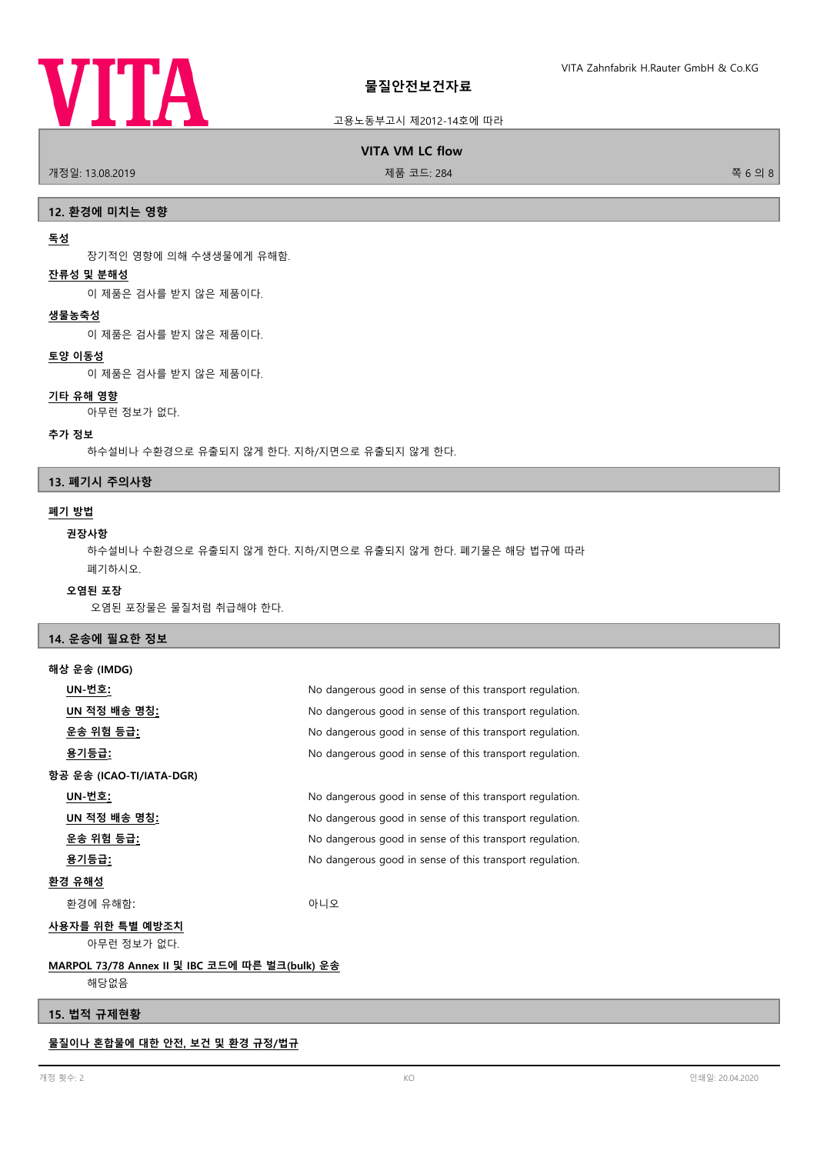# **VITA**

# 고용노동부고시 제2012-14호에 따라

**VITA VM LC flow**

.<br>개정일: 13.08.2019 제품 프로그램을 제공하는 것이 제품 코드: 284 전 12월 20일 - 29월 20일 8월 20일 8월 20일 8월 20일 8월 20일 8월 20일 8월 20일 8월 2

### **12. 환경에 미치는 영향**

### **독성**

장기적인 영향에 의해 수생생물에게 유해함.

# **잔류성 및 분해성**

이 제품은 검사를 받지 않은 제품이다.

### **생물농축성**

이 제품은 검사를 받지 않은 제품이다.

# **토양 이동성**

이 제품은 검사를 받지 않은 제품이다.

# **기타 유해 영향**

아무런 정보가 없다.

### **추가 정보**

하수설비나 수환경으로 유출되지 않게 한다. 지하/지면으로 유출되지 않게 한다.

# **13. 폐기시 주의사항**

# **폐기 방법**

### **권장사항**

하수설비나 수환경으로 유출되지 않게 한다. 지하/지면으로 유출되지 않게 한다. 폐기물은 해당 법규에 따라 폐기하시오.

# **오염된 포장**

오염된 포장물은 물질처럼 취급해야 한다.

# **14. 운송에 필요한 정보**

| 해상 운송 (IMDG)             |                                                          |
|--------------------------|----------------------------------------------------------|
| UN-번호:                   | No dangerous good in sense of this transport regulation. |
| UN 적정 배송 명칭 <u>:</u>     | No dangerous good in sense of this transport regulation. |
| <u> 운송 위험 등급:</u>        | No dangerous good in sense of this transport regulation. |
| <u>용기등급:</u>             | No dangerous good in sense of this transport regulation. |
| 항공 운송 (ICAO-TI/IATA-DGR) |                                                          |
| UN-번호:                   | No dangerous good in sense of this transport regulation. |
| UN 적정 배송 명칭 <u>:</u>     | No dangerous good in sense of this transport regulation. |
| <u> 운송 위험 등급:</u>        | No dangerous good in sense of this transport regulation. |
| 용기등급:                    | No dangerous good in sense of this transport regulation. |
| 환경 유해성                   |                                                          |
| 환경에 유해함:                 | 아니오                                                      |
| 사용자를 위한 특별 예방조치          |                                                          |
| 아무런 정보가 없다.              |                                                          |

# 해당없음

# **15. 법적 규제현황**

**물질이나 혼합물에 대한 안전, 보건 및 환경 규정/법규**

**MARPOL 73/78 Annex II 및 IBC 코드에 따른 벌크(bulk) 운송**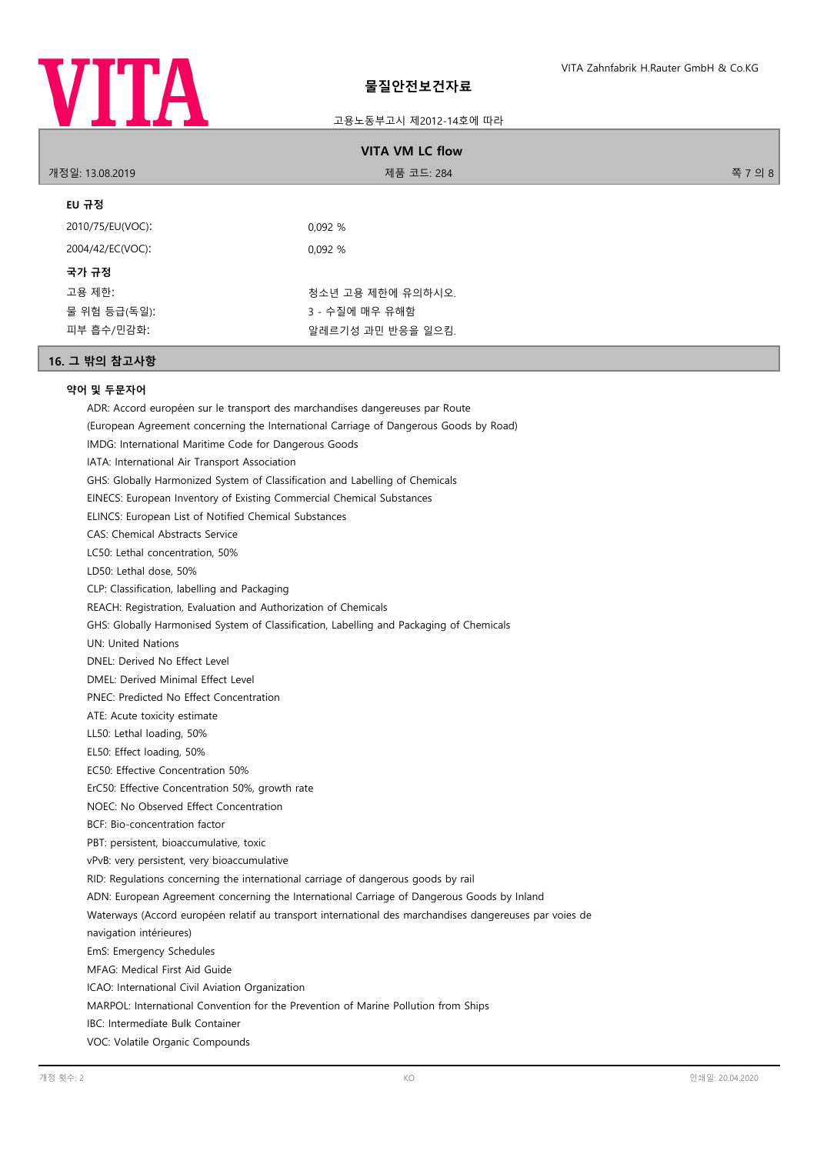

# 고용노동부고시 제2012-14호에 따라

| <b>VITA VM LC flow</b>                                                                                                                                                                                                                                                                                                                                                                                                                                                                                                                                                                                                                                                                                                                                                                                                                                                                                                                 |                   |         |  |
|----------------------------------------------------------------------------------------------------------------------------------------------------------------------------------------------------------------------------------------------------------------------------------------------------------------------------------------------------------------------------------------------------------------------------------------------------------------------------------------------------------------------------------------------------------------------------------------------------------------------------------------------------------------------------------------------------------------------------------------------------------------------------------------------------------------------------------------------------------------------------------------------------------------------------------------|-------------------|---------|--|
| 개정일: 13.08.2019                                                                                                                                                                                                                                                                                                                                                                                                                                                                                                                                                                                                                                                                                                                                                                                                                                                                                                                        | 제품 코드: 284        | 쪽 7 의 8 |  |
| EU 규정                                                                                                                                                                                                                                                                                                                                                                                                                                                                                                                                                                                                                                                                                                                                                                                                                                                                                                                                  |                   |         |  |
| 2010/75/EU(VOC):                                                                                                                                                                                                                                                                                                                                                                                                                                                                                                                                                                                                                                                                                                                                                                                                                                                                                                                       | 0,092 %           |         |  |
| 2004/42/EC(VOC):                                                                                                                                                                                                                                                                                                                                                                                                                                                                                                                                                                                                                                                                                                                                                                                                                                                                                                                       | 0,092 %           |         |  |
| 국가 규정                                                                                                                                                                                                                                                                                                                                                                                                                                                                                                                                                                                                                                                                                                                                                                                                                                                                                                                                  |                   |         |  |
| 고용 제한:                                                                                                                                                                                                                                                                                                                                                                                                                                                                                                                                                                                                                                                                                                                                                                                                                                                                                                                                 | 청소년 고용 제한에 유의하시오. |         |  |
| 물 위험 등급(독일):                                                                                                                                                                                                                                                                                                                                                                                                                                                                                                                                                                                                                                                                                                                                                                                                                                                                                                                           | 3 - 수질에 매우 유해함    |         |  |
| 피부 흡수/민감화:                                                                                                                                                                                                                                                                                                                                                                                                                                                                                                                                                                                                                                                                                                                                                                                                                                                                                                                             | 알레르기성 과민 반응을 일으킴. |         |  |
| 16. 그 밖의 참고사항                                                                                                                                                                                                                                                                                                                                                                                                                                                                                                                                                                                                                                                                                                                                                                                                                                                                                                                          |                   |         |  |
| 약어 및 두문자어<br>ADR: Accord européen sur le transport des marchandises dangereuses par Route<br>(European Agreement concerning the International Carriage of Dangerous Goods by Road)<br>IMDG: International Maritime Code for Dangerous Goods<br>IATA: International Air Transport Association<br>GHS: Globally Harmonized System of Classification and Labelling of Chemicals<br>EINECS: European Inventory of Existing Commercial Chemical Substances<br>ELINCS: European List of Notified Chemical Substances<br><b>CAS: Chemical Abstracts Service</b><br>LC50: Lethal concentration, 50%<br>LD50: Lethal dose, 50%<br>CLP: Classification, labelling and Packaging<br>REACH: Registration, Evaluation and Authorization of Chemicals<br>GHS: Globally Harmonised System of Classification, Labelling and Packaging of Chemicals<br><b>UN: United Nations</b><br>DNEL: Derived No Effect Level<br>DMEL: Derived Minimal Effect Level |                   |         |  |

PNEC: Predicted No Effect Concentration

ATE: Acute toxicity estimate

LL50: Lethal loading, 50%

EL50: Effect loading, 50%

EC50: Effective Concentration 50%

ErC50: Effective Concentration 50%, growth rate

NOEC: No Observed Effect Concentration

BCF: Bio-concentration factor

PBT: persistent, bioaccumulative, toxic

vPvB: very persistent, very bioaccumulative

RID: Regulations concerning the international carriage of dangerous goods by rail

ADN: European Agreement concerning the International Carriage of Dangerous Goods by Inland

Waterways (Accord européen relatif au transport international des marchandises dangereuses par voies de

navigation intérieures)

EmS: Emergency Schedules

MFAG: Medical First Aid Guide

ICAO: International Civil Aviation Organization

MARPOL: International Convention for the Prevention of Marine Pollution from Ships

IBC: Intermediate Bulk Container

VOC: Volatile Organic Compounds